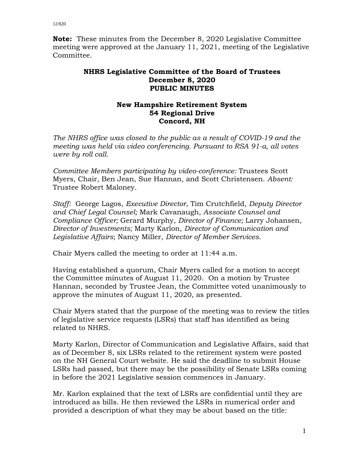**Note:** These minutes from the December 8, 2020 Legislative Committee meeting were approved at the January 11, 2021, meeting of the Legislative Committee.

## **NHRS Legislative Committee of the Board of Trustees December 8, 2020 PUBLIC MINUTES**

## **New Hampshire Retirement System 54 Regional Drive Concord, NH**

*The NHRS office was closed to the public as a result of COVID-19 and the meeting was held via video conferencing. Pursuant to RSA 91-a, all votes were by roll call.*

*Committee Members participating by video-conference:* Trustees Scott Myers, Chair, Ben Jean, Sue Hannan, and Scott Christensen. *Absent:* Trustee Robert Maloney.

*Staff:* George Lagos, *Executive Director*, Tim Crutchfield, *Deputy Director and Chief Legal Counsel;* Mark Cavanaugh, *Associate Counsel and Compliance Officer;* Gerard Murphy, *Director of Finance;* Larry Johansen, *Director of Investments;* Marty Karlon, *Director of Communication and Legislative Affairs*; Nancy Miller, *Director of Member Services*.

Chair Myers called the meeting to order at 11:44 a.m.

Having established a quorum, Chair Myers called for a motion to accept the Committee minutes of August 11, 2020. On a motion by Trustee Hannan, seconded by Trustee Jean, the Committee voted unanimously to approve the minutes of August 11, 2020, as presented.

Chair Myers stated that the purpose of the meeting was to review the titles of legislative service requests (LSRs) that staff has identified as being related to NHRS.

Marty Karlon, Director of Communication and Legislative Affairs, said that as of December 8, six LSRs related to the retirement system were posted on the NH General Court website. He said the deadline to submit House LSRs had passed, but there may be the possibility of Senate LSRs coming in before the 2021 Legislative session commences in January.

Mr. Karlon explained that the text of LSRs are confidential until they are introduced as bills. He then reviewed the LSRs in numerical order and provided a description of what they may be about based on the title: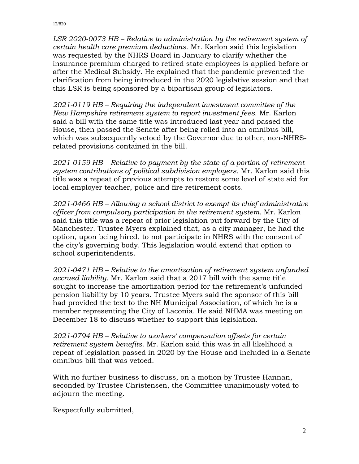*LSR 2020-0073 HB – Relative to administration by the retirement system of certain health care premium deductions.* Mr. Karlon said this legislation was requested by the NHRS Board in January to clarify whether the insurance premium charged to retired state employees is applied before or after the Medical Subsidy. He explained that the pandemic prevented the clarification from being introduced in the 2020 legislative session and that this LSR is being sponsored by a bipartisan group of legislators.

*2021-0119 HB – Requiring the independent investment committee of the New Hampshire retirement system to report investment fees.* Mr. Karlon said a bill with the same title was introduced last year and passed the House, then passed the Senate after being rolled into an omnibus bill, which was subsequently vetoed by the Governor due to other, non-NHRSrelated provisions contained in the bill.

*2021-0159 HB – Relative to payment by the state of a portion of retirement system contributions of political subdivision employers.* Mr. Karlon said this title was a repeat of previous attempts to restore some level of state aid for local employer teacher, police and fire retirement costs.

*2021-0466 HB – Allowing a school district to exempt its chief administrative officer from compulsory participation in the retirement system.* Mr. Karlon said this title was a repeat of prior legislation put forward by the City of Manchester. Trustee Myers explained that, as a city manager, he had the option, upon being hired, to not participate in NHRS with the consent of the city's governing body. This legislation would extend that option to school superintendents.

*2021-0471 HB – Relative to the amortization of retirement system unfunded accrued liability.* Mr. Karlon said that a 2017 bill with the same title sought to increase the amortization period for the retirement's unfunded pension liability by 10 years. Trustee Myers said the sponsor of this bill had provided the text to the NH Municipal Association, of which he is a member representing the City of Laconia. He said NHMA was meeting on December 18 to discuss whether to support this legislation.

*2021-0794 HB – Relative to workers' compensation offsets for certain retirement system benefits.* Mr. Karlon said this was in all likelihood a repeat of legislation passed in 2020 by the House and included in a Senate omnibus bill that was vetoed.

With no further business to discuss, on a motion by Trustee Hannan, seconded by Trustee Christensen, the Committee unanimously voted to adjourn the meeting.

Respectfully submitted,